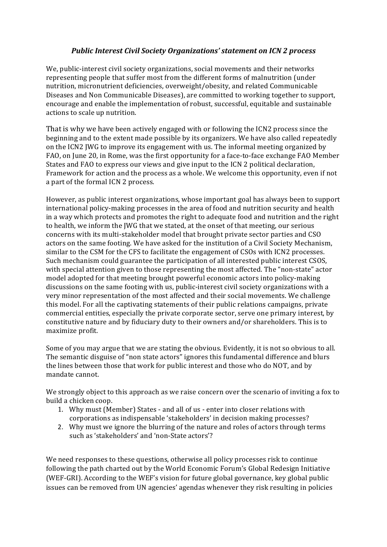## *Public Interest Civil Society Organizations' statement on ICN 2 process*

We, public-interest civil society organizations, social movements and their networks representing people that suffer most from the different forms of malnutrition (under nutrition, micronutrient deficiencies, overweight/obesity, and related Communicable Diseases and Non Communicable Diseases), are committed to working together to support, encourage and enable the implementation of robust, successful, equitable and sustainable actions to scale up nutrition.

That is why we have been actively engaged with or following the ICN2 process since the beginning and to the extent made possible by its organizers. We have also called repeatedly on the ICN2 JWG to improve its engagement with us. The informal meeting organized by FAO, on June 20, in Rome, was the first opportunity for a face-to-face exchange FAO Member States and FAO to express our views and give input to the ICN 2 political declaration, Framework for action and the process as a whole. We welcome this opportunity, even if not a part of the formal ICN 2 process.

However, as public interest organizations, whose important goal has always been to support international policy-making processes in the area of food and nutrition security and health in a way which protects and promotes the right to adequate food and nutrition and the right to health, we inform the IWG that we stated, at the onset of that meeting, our serious concerns with its multi-stakeholder model that brought private sector parties and CSO actors on the same footing. We have asked for the institution of a Civil Society Mechanism, similar to the CSM for the CFS to facilitate the engagement of CSOs with ICN2 processes. Such mechanism could guarantee the participation of all interested public interest CSOS, with special attention given to those representing the most affected. The "non-state" actor model adopted for that meeting brought powerful economic actors into policy-making discussions on the same footing with us, public-interest civil society organizations with a very minor representation of the most affected and their social movements. We challenge this model. For all the captivating statements of their public relations campaigns, private commercial entities, especially the private corporate sector, serve one primary interest, by constitutive nature and by fiduciary duty to their owners and/or shareholders. This is to maximize profit.

Some of you may argue that we are stating the obvious. Evidently, it is not so obvious to all. The semantic disguise of "non state actors" ignores this fundamental difference and blurs the lines between those that work for public interest and those who do NOT, and by mandate cannot.

We strongly object to this approach as we raise concern over the scenario of inviting a fox to build a chicken coop.

- 1. Why must (Member) States and all of us enter into closer relations with corporations as indispensable 'stakeholders' in decision making processes?
- 2. Why must we ignore the blurring of the nature and roles of actors through terms such as 'stakeholders' and 'non-State actors'?

We need responses to these questions, otherwise all policy processes risk to continue following the path charted out by the World Economic Forum's Global Redesign Initiative (WEF-GRI). According to the WEF's vision for future global governance, key global public issues can be removed from UN agencies' agendas whenever they risk resulting in policies